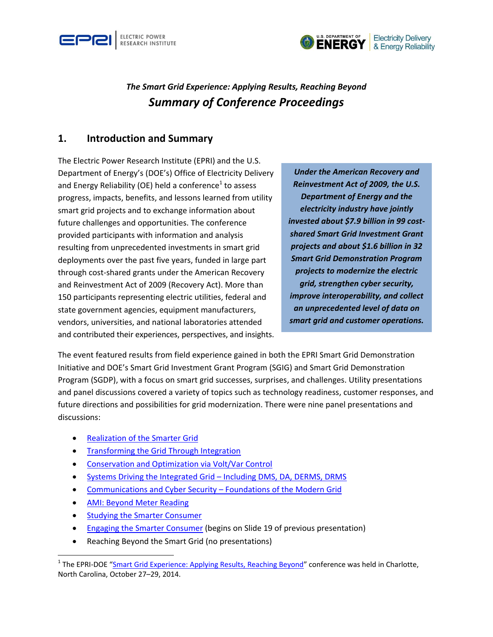



# *The Smart Grid Experience: Applying Results, Reaching Beyond Summary of Conference Proceedings*

#### **1. Introduction and Summary**

The Electric Power Research Institute (EPRI) and the U.S. Department of Energy's (DOE's) Office of Electricity Delivery and Energy Reliability (OE) held a conference<sup>1</sup> to assess progress, impacts, benefits, and lessons learned from utility smart grid projects and to exchange information about future challenges and opportunities. The conference provided participants with information and analysis resulting from unprecedented investments in smart grid deployments over the past five years, funded in large part through cost-shared grants under the American Recovery and Reinvestment Act of 2009 (Recovery Act). More than 150 participants representing electric utilities, federal and state government agencies, equipment manufacturers, vendors, universities, and national laboratories attended and contributed their experiences, perspectives, and insights.

*Under the American Recovery and Reinvestment Act of 2009, the U.S. Department of Energy and the electricity industry have jointly invested about \$7.9 billion in 99 costshared Smart Grid Investment Grant projects and about \$1.6 billion in 32 Smart Grid Demonstration Program projects to modernize the electric grid, strengthen cyber security, improve interoperability, and collect an unprecedented level of data on smart grid and customer operations.*

The event featured results from field experience gained in both the EPRI Smart Grid Demonstration Initiative and DOE's Smart Grid Investment Grant Program (SGIG) and Smart Grid Demonstration Program (SGDP), with a focus on smart grid successes, surprises, and challenges. Utility presentations and panel discussions covered a variety of topics such as technology readiness, customer responses, and future directions and possibilities for grid modernization. There were nine panel presentations and discussions:

- [Realization of the Smarter Grid](http://mydocs.epri.com/docs/PublicMeetingMaterials/1028/Opening_Plenary_Session%20-The_Smart_Grid_Experience_Oct_2014.pdf)
- [Transforming the Grid Through Integration](http://mydocs.epri.com/docs/PublicMeetingMaterials/1028/Session_1_Transforming_the_Grid_Through_Integration.pdf)
- [Conservation and Optimization via Volt/Var Control](http://mydocs.epri.com/docs/PublicMeetingMaterials/1028/Session_2_Conservation_and_Optimization_via_Volt-Var_Control.pdf)
- [Systems Driving the Integrated Grid](http://mydocs.epri.com/docs/PublicMeetingMaterials/1028/Session_3-Systems_Driving_the_Integrated_Grid_v2.pdf)  Including DMS, DA, DERMS, DRMS
- [Communications and Cyber Security](http://mydocs.epri.com/docs/PublicMeetingMaterials/1028/Session_4_Comms_and_Cyber_Security_Final_Master.pdf)  Foundations of the Modern Grid
- [AMI: Beyond Meter Reading](http://mydocs.epri.com/docs/PublicMeetingMaterials/1028/Session_5_AMI_Beyond_Meter_Reading.pdf)

 $\overline{\phantom{a}}$ 

- [Studying the Smarter Consumer](http://mydocs.epri.com/docs/PublicMeetingMaterials/1028/Session_6_and_7_Studying%20-Engaging_the_Smarter_Consumer_Panels.pdf)
- [Engaging the Smarter Consumer](http://mydocs.epri.com/docs/PublicMeetingMaterials/1028/Session_6_and_7_Studying%20-Engaging_the_Smarter_Consumer_Panels.pdf) (begins on Slide 19 of previous presentation)
- Reaching Beyond the Smart Grid (no presentations)

<sup>&</sup>lt;sup>1</sup> The EPRI-DOE "[Smart Grid Experience: Applying Results, Reaching Beyond](http://smartgrid.epri.com/Presentations/PresentationsWorkshops.aspx)" conference was held in Charlotte, North Carolina, October 27–29, 2014.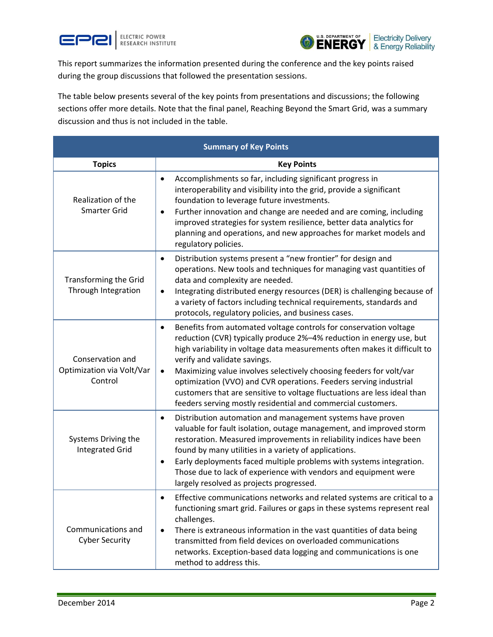



This report summarizes the information presented during the conference and the key points raised during the group discussions that followed the presentation sessions.

The table below presents several of the key points from presentations and discussions; the following sections offer more details. Note that the final panel, Reaching Beyond the Smart Grid, was a summary discussion and thus is not included in the table.

| <b>Summary of Key Points</b>                             |                                                                                                                                                                                                                                                                                                                                                                                                                                                                                                                                                                          |
|----------------------------------------------------------|--------------------------------------------------------------------------------------------------------------------------------------------------------------------------------------------------------------------------------------------------------------------------------------------------------------------------------------------------------------------------------------------------------------------------------------------------------------------------------------------------------------------------------------------------------------------------|
| <b>Topics</b>                                            | <b>Key Points</b>                                                                                                                                                                                                                                                                                                                                                                                                                                                                                                                                                        |
| Realization of the<br><b>Smarter Grid</b>                | Accomplishments so far, including significant progress in<br>$\bullet$<br>interoperability and visibility into the grid, provide a significant<br>foundation to leverage future investments.<br>Further innovation and change are needed and are coming, including<br>$\bullet$<br>improved strategies for system resilience, better data analytics for<br>planning and operations, and new approaches for market models and<br>regulatory policies.                                                                                                                     |
| Transforming the Grid<br>Through Integration             | Distribution systems present a "new frontier" for design and<br>$\bullet$<br>operations. New tools and techniques for managing vast quantities of<br>data and complexity are needed.<br>Integrating distributed energy resources (DER) is challenging because of<br>$\bullet$<br>a variety of factors including technical requirements, standards and<br>protocols, regulatory policies, and business cases.                                                                                                                                                             |
| Conservation and<br>Optimization via Volt/Var<br>Control | Benefits from automated voltage controls for conservation voltage<br>$\bullet$<br>reduction (CVR) typically produce 2%-4% reduction in energy use, but<br>high variability in voltage data measurements often makes it difficult to<br>verify and validate savings.<br>Maximizing value involves selectively choosing feeders for volt/var<br>$\bullet$<br>optimization (VVO) and CVR operations. Feeders serving industrial<br>customers that are sensitive to voltage fluctuations are less ideal than<br>feeders serving mostly residential and commercial customers. |
| Systems Driving the<br><b>Integrated Grid</b>            | Distribution automation and management systems have proven<br>٠<br>valuable for fault isolation, outage management, and improved storm<br>restoration. Measured improvements in reliability indices have been<br>found by many utilities in a variety of applications.<br>Early deployments faced multiple problems with systems integration.<br>$\bullet$<br>Those due to lack of experience with vendors and equipment were<br>largely resolved as projects progressed.                                                                                                |
| Communications and<br><b>Cyber Security</b>              | Effective communications networks and related systems are critical to a<br>functioning smart grid. Failures or gaps in these systems represent real<br>challenges.<br>There is extraneous information in the vast quantities of data being<br>$\bullet$<br>transmitted from field devices on overloaded communications<br>networks. Exception-based data logging and communications is one<br>method to address this.                                                                                                                                                    |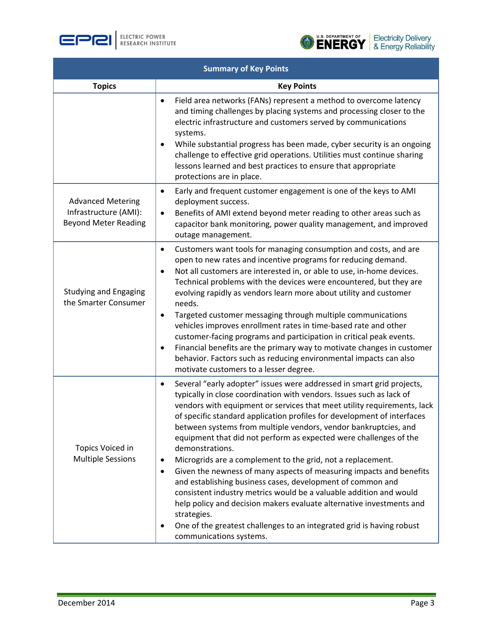





| <b>Summary of Key Points</b>                                                     |                                                                                                                                                                                                                                                                                                                                                                                                                                                                                                                                                                                                                                                                                                                                                                                                                                                                                                                                                                 |  |
|----------------------------------------------------------------------------------|-----------------------------------------------------------------------------------------------------------------------------------------------------------------------------------------------------------------------------------------------------------------------------------------------------------------------------------------------------------------------------------------------------------------------------------------------------------------------------------------------------------------------------------------------------------------------------------------------------------------------------------------------------------------------------------------------------------------------------------------------------------------------------------------------------------------------------------------------------------------------------------------------------------------------------------------------------------------|--|
| <b>Topics</b>                                                                    | <b>Key Points</b>                                                                                                                                                                                                                                                                                                                                                                                                                                                                                                                                                                                                                                                                                                                                                                                                                                                                                                                                               |  |
|                                                                                  | Field area networks (FANs) represent a method to overcome latency<br>٠<br>and timing challenges by placing systems and processing closer to the<br>electric infrastructure and customers served by communications<br>systems.<br>While substantial progress has been made, cyber security is an ongoing<br>challenge to effective grid operations. Utilities must continue sharing<br>lessons learned and best practices to ensure that appropriate<br>protections are in place.                                                                                                                                                                                                                                                                                                                                                                                                                                                                                |  |
| <b>Advanced Metering</b><br>Infrastructure (AMI):<br><b>Beyond Meter Reading</b> | Early and frequent customer engagement is one of the keys to AMI<br>$\bullet$<br>deployment success.<br>Benefits of AMI extend beyond meter reading to other areas such as<br>٠<br>capacitor bank monitoring, power quality management, and improved<br>outage management.                                                                                                                                                                                                                                                                                                                                                                                                                                                                                                                                                                                                                                                                                      |  |
| <b>Studying and Engaging</b><br>the Smarter Consumer                             | Customers want tools for managing consumption and costs, and are<br>$\bullet$<br>open to new rates and incentive programs for reducing demand.<br>Not all customers are interested in, or able to use, in-home devices.<br>Technical problems with the devices were encountered, but they are<br>evolving rapidly as vendors learn more about utility and customer<br>needs.<br>Targeted customer messaging through multiple communications<br>$\bullet$<br>vehicles improves enrollment rates in time-based rate and other<br>customer-facing programs and participation in critical peak events.<br>Financial benefits are the primary way to motivate changes in customer<br>٠<br>behavior. Factors such as reducing environmental impacts can also<br>motivate customers to a lesser degree.                                                                                                                                                                |  |
| Topics Voiced in<br><b>Multiple Sessions</b>                                     | Several "early adopter" issues were addressed in smart grid projects,<br>$\bullet$<br>typically in close coordination with vendors. Issues such as lack of<br>vendors with equipment or services that meet utility requirements, lack<br>of specific standard application profiles for development of interfaces<br>between systems from multiple vendors, vendor bankruptcies, and<br>equipment that did not perform as expected were challenges of the<br>demonstrations.<br>Microgrids are a complement to the grid, not a replacement.<br>٠<br>Given the newness of many aspects of measuring impacts and benefits<br>٠<br>and establishing business cases, development of common and<br>consistent industry metrics would be a valuable addition and would<br>help policy and decision makers evaluate alternative investments and<br>strategies.<br>One of the greatest challenges to an integrated grid is having robust<br>٠<br>communications systems. |  |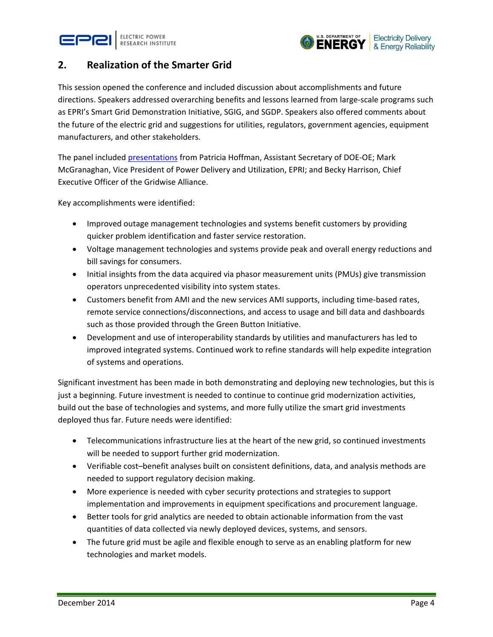



### **2. Realization of the Smarter Grid**

This session opened the conference and included discussion about accomplishments and future directions. Speakers addressed overarching benefits and lessons learned from large-scale programs such as EPRI's Smart Grid Demonstration Initiative, SGIG, and SGDP. Speakers also offered comments about the future of the electric grid and suggestions for utilities, regulators, government agencies, equipment manufacturers, and other stakeholders.

The panel included [presentations](http://mydocs.epri.com/docs/PublicMeetingMaterials/1028/Opening_Plenary_Session%20-The_Smart_Grid_Experience_Oct_2014.pdf) from Patricia Hoffman, Assistant Secretary of DOE-OE; Mark McGranaghan, Vice President of Power Delivery and Utilization, EPRI; and Becky Harrison, Chief Executive Officer of the Gridwise Alliance.

Key accomplishments were identified:

- Improved outage management technologies and systems benefit customers by providing quicker problem identification and faster service restoration.
- Voltage management technologies and systems provide peak and overall energy reductions and bill savings for consumers.
- Initial insights from the data acquired via phasor measurement units (PMUs) give transmission operators unprecedented visibility into system states.
- Customers benefit from AMI and the new services AMI supports, including time-based rates, remote service connections/disconnections, and access to usage and bill data and dashboards such as those provided through the Green Button Initiative.
- Development and use of interoperability standards by utilities and manufacturers has led to improved integrated systems. Continued work to refine standards will help expedite integration of systems and operations.

Significant investment has been made in both demonstrating and deploying new technologies, but this is just a beginning. Future investment is needed to continue to continue grid modernization activities, build out the base of technologies and systems, and more fully utilize the smart grid investments deployed thus far. Future needs were identified:

- Telecommunications infrastructure lies at the heart of the new grid, so continued investments will be needed to support further grid modernization.
- Verifiable cost–benefit analyses built on consistent definitions, data, and analysis methods are needed to support regulatory decision making.
- More experience is needed with cyber security protections and strategies to support implementation and improvements in equipment specifications and procurement language.
- Better tools for grid analytics are needed to obtain actionable information from the vast quantities of data collected via newly deployed devices, systems, and sensors.
- The future grid must be agile and flexible enough to serve as an enabling platform for new technologies and market models.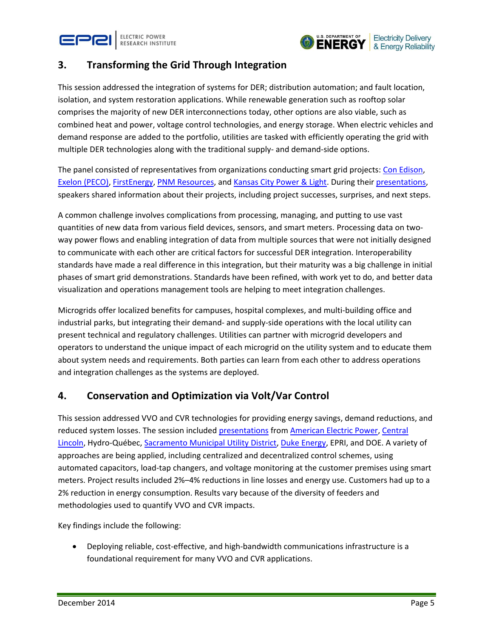



## **3. Transforming the Grid Through Integration**

This session addressed the integration of systems for DER; distribution automation; and fault location, isolation, and system restoration applications. While renewable generation such as rooftop solar comprises the majority of new DER interconnections today, other options are also viable, such as combined heat and power, voltage control technologies, and energy storage. When electric vehicles and demand response are added to the portfolio, utilities are tasked with efficiently operating the grid with multiple DER technologies along with the traditional supply- and demand-side options.

The panel consisted of representatives from organizations conducting smart grid projects: [Con Edison,](https://www.smartgrid.gov/project/consolidated_edison_company_ny_interoperability_demand_response_resources_demonstration_ny) [Exelon \(PECO\),](https://www.smartgrid.gov/project/peco_smart_future_greater_philadelphia) [FirstEnergy,](https://www.smartgrid.gov/project/firstenergy_smart_grid_modernization_initiative) [PNM Resources,](https://www.smartgrid.gov/project/public_service_company_new_mexico_pv_plus_battery_simultaneous_voltage_smoothing_and_peak) and [Kansas City Power & Light.](https://www.smartgrid.gov/project/kansas_city_power_and_light_green_impact_zone_smartgrid_demonstration) During their [presentations,](http://mydocs.epri.com/docs/PublicMeetingMaterials/1028/Session_1_Transforming_the_Grid_Through_Integration.pdf) speakers shared information about their projects, including project successes, surprises, and next steps.

A common challenge involves complications from processing, managing, and putting to use vast quantities of new data from various field devices, sensors, and smart meters. Processing data on twoway power flows and enabling integration of data from multiple sources that were not initially designed to communicate with each other are critical factors for successful DER integration. Interoperability standards have made a real difference in this integration, but their maturity was a big challenge in initial phases of smart grid demonstrations. Standards have been refined, with work yet to do, and better data visualization and operations management tools are helping to meet integration challenges.

Microgrids offer localized benefits for campuses, hospital complexes, and multi-building office and industrial parks, but integrating their demand- and supply-side operations with the local utility can present technical and regulatory challenges. Utilities can partner with microgrid developers and operators to understand the unique impact of each microgrid on the utility system and to educate them about system needs and requirements. Both parties can learn from each other to address operations and integration challenges as the systems are deployed.

### **4. Conservation and Optimization via Volt/Var Control**

This session addressed VVO and CVR technologies for providing energy savings, demand reductions, and reduced system losses. The session included [presentations](http://mydocs.epri.com/docs/PublicMeetingMaterials/1028/Session_2_Conservation_and_Optimization_via_Volt-Var_Control.pdf) fro[m American Electric Power,](https://www.smartgrid.gov/project/aep_ohio_gridsmartsm_demonstration_project) [Central](https://www.smartgrid.gov/project/central_lincoln_peoples_utility_district_smart_grid_team_2020_program)  [Lincoln,](https://www.smartgrid.gov/project/central_lincoln_peoples_utility_district_smart_grid_team_2020_program) Hydro-Québec, [Sacramento Municipal Utility District,](https://www.smartgrid.gov/project/sacramento_municipal_utility_district_smartsacramento) [Duke Energy,](https://www.smartgrid.gov/project/duke_energy_business_services_smart_grid_deployment) EPRI, and DOE. A variety of approaches are being applied, including centralized and decentralized control schemes, using automated capacitors, load-tap changers, and voltage monitoring at the customer premises using smart meters. Project results included 2%–4% reductions in line losses and energy use. Customers had up to a 2% reduction in energy consumption. Results vary because of the diversity of feeders and methodologies used to quantify VVO and CVR impacts.

Key findings include the following:

 Deploying reliable, cost-effective, and high-bandwidth communications infrastructure is a foundational requirement for many VVO and CVR applications.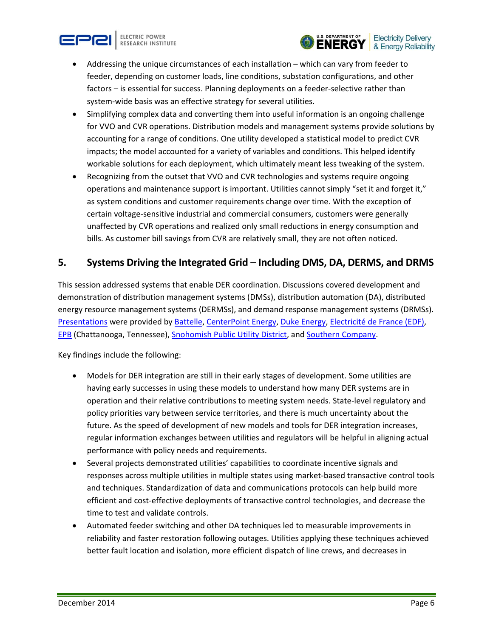





- Addressing the unique circumstances of each installation which can vary from feeder to feeder, depending on customer loads, line conditions, substation configurations, and other factors – is essential for success. Planning deployments on a feeder-selective rather than system-wide basis was an effective strategy for several utilities.
- Simplifying complex data and converting them into useful information is an ongoing challenge for VVO and CVR operations. Distribution models and management systems provide solutions by accounting for a range of conditions. One utility developed a statistical model to predict CVR impacts; the model accounted for a variety of variables and conditions. This helped identify workable solutions for each deployment, which ultimately meant less tweaking of the system.
- Recognizing from the outset that VVO and CVR technologies and systems require ongoing operations and maintenance support is important. Utilities cannot simply "set it and forget it," as system conditions and customer requirements change over time. With the exception of certain voltage-sensitive industrial and commercial consumers, customers were generally unaffected by CVR operations and realized only small reductions in energy consumption and bills. As customer bill savings from CVR are relatively small, they are not often noticed.

### **5. Systems Driving the Integrated Grid – Including DMS, DA, DERMS, and DRMS**

This session addressed systems that enable DER coordination. Discussions covered development and demonstration of distribution management systems (DMSs), distribution automation (DA), distributed energy resource management systems (DERMSs), and demand response management systems (DRMSs). [Presentations](http://mydocs.epri.com/docs/PublicMeetingMaterials/1028/Session_3-Systems_Driving_the_Integrated_Grid_v2.pdf) were provided by [Battelle,](https://www.smartgrid.gov/project/battelle_memorial_institute_pacific_northwest_division_smart_grid_demonstration_project) [CenterPoint Energy,](https://www.smartgrid.gov/project/centerpoint_energy_houston_electric_llc_smart_grid_project) [Duke Energy,](https://www.smartgrid.gov/project/duke_energy_business_services_smart_grid_deployment) [Electricité de France \(EDF\),](https://www.smartgrid.gov/document/edf_smart_grid_development) [EPB](https://www.smartgrid.gov/project/epb_smart_grid_project) (Chattanooga, Tennessee), [Snohomish Public Utility District,](https://www.smartgrid.gov/project/public_utility_district_no_1_snohomish_county_smart_grid_infrastructure_modernization) and [Southern Company.](https://www.smartgrid.gov/project/southern_company_services_inc_smart_grid_project)

Key findings include the following:

- Models for DER integration are still in their early stages of development. Some utilities are having early successes in using these models to understand how many DER systems are in operation and their relative contributions to meeting system needs. State-level regulatory and policy priorities vary between service territories, and there is much uncertainty about the future. As the speed of development of new models and tools for DER integration increases, regular information exchanges between utilities and regulators will be helpful in aligning actual performance with policy needs and requirements.
- Several projects demonstrated utilities' capabilities to coordinate incentive signals and responses across multiple utilities in multiple states using market-based transactive control tools and techniques. Standardization of data and communications protocols can help build more efficient and cost-effective deployments of transactive control technologies, and decrease the time to test and validate controls.
- Automated feeder switching and other DA techniques led to measurable improvements in reliability and faster restoration following outages. Utilities applying these techniques achieved better fault location and isolation, more efficient dispatch of line crews, and decreases in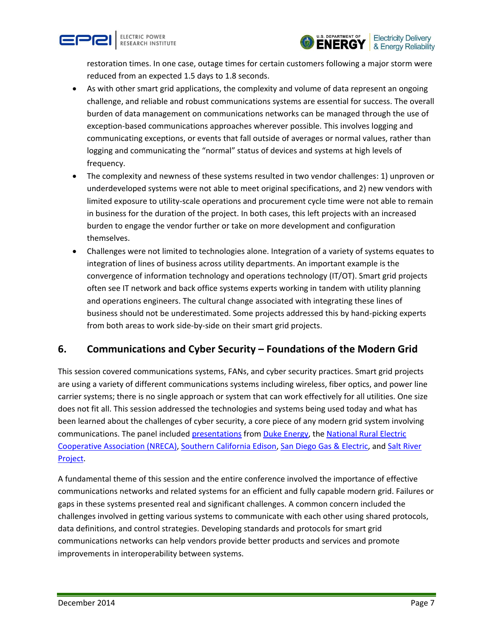



restoration times. In one case, outage times for certain customers following a major storm were reduced from an expected 1.5 days to 1.8 seconds.

- As with other smart grid applications, the complexity and volume of data represent an ongoing challenge, and reliable and robust communications systems are essential for success. The overall burden of data management on communications networks can be managed through the use of exception-based communications approaches wherever possible. This involves logging and communicating exceptions, or events that fall outside of averages or normal values, rather than logging and communicating the "normal" status of devices and systems at high levels of frequency.
- The complexity and newness of these systems resulted in two vendor challenges: 1) unproven or underdeveloped systems were not able to meet original specifications, and 2) new vendors with limited exposure to utility-scale operations and procurement cycle time were not able to remain in business for the duration of the project. In both cases, this left projects with an increased burden to engage the vendor further or take on more development and configuration themselves.
- Challenges were not limited to technologies alone. Integration of a variety of systems equates to integration of lines of business across utility departments. An important example is the convergence of information technology and operations technology (IT/OT). Smart grid projects often see IT network and back office systems experts working in tandem with utility planning and operations engineers. The cultural change associated with integrating these lines of business should not be underestimated. Some projects addressed this by hand-picking experts from both areas to work side-by-side on their smart grid projects.

# **6. Communications and Cyber Security – Foundations of the Modern Grid**

This session covered communications systems, FANs, and cyber security practices. Smart grid projects are using a variety of different communications systems including wireless, fiber optics, and power line carrier systems; there is no single approach or system that can work effectively for all utilities. One size does not fit all. This session addressed the technologies and systems being used today and what has been learned about the challenges of cyber security, a core piece of any modern grid system involving communications. The panel include[d presentations](http://mydocs.epri.com/docs/PublicMeetingMaterials/1028/Session_4_Comms_and_Cyber_Security_Final_Master.pdf) from [Duke Energy,](https://www.smartgrid.gov/project/duke_energy_business_services_smart_grid_deployment) the National Rural Electric [Cooperative Association](https://www.smartgrid.gov/project/national_rural_electric_cooperative_association_enhanced_demand_and_distribution_management) (NRECA), [Southern California Edison,](https://www.smartgrid.gov/project/southern_california_edison_company_irvine_smart_grid_demonstration) [San Diego Gas & Electric,](https://www.smartgrid.gov/project/san_diego_gas_electric_company_sdge_grid_communication_system) and [Salt River](https://www.smartgrid.gov/project/salt_river_project_agricultural_improvement_and_power_district_advanced_data_acquisition_and)  [Project.](https://www.smartgrid.gov/project/salt_river_project_agricultural_improvement_and_power_district_advanced_data_acquisition_and)

A fundamental theme of this session and the entire conference involved the importance of effective communications networks and related systems for an efficient and fully capable modern grid. Failures or gaps in these systems presented real and significant challenges. A common concern included the challenges involved in getting various systems to communicate with each other using shared protocols, data definitions, and control strategies. Developing standards and protocols for smart grid communications networks can help vendors provide better products and services and promote improvements in interoperability between systems.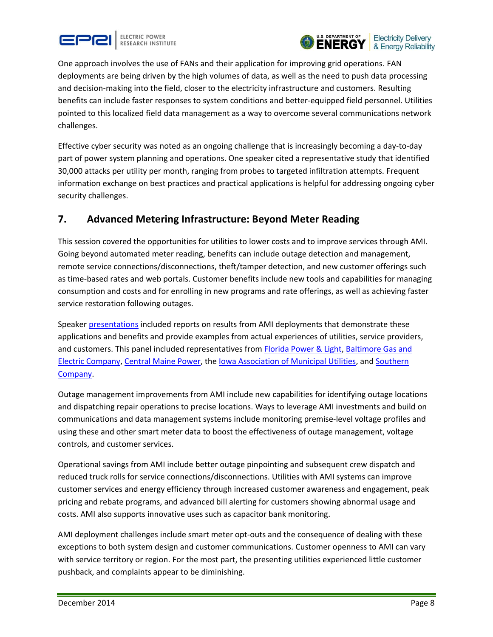



One approach involves the use of FANs and their application for improving grid operations. FAN deployments are being driven by the high volumes of data, as well as the need to push data processing and decision-making into the field, closer to the electricity infrastructure and customers. Resulting benefits can include faster responses to system conditions and better-equipped field personnel. Utilities pointed to this localized field data management as a way to overcome several communications network challenges.

Effective cyber security was noted as an ongoing challenge that is increasingly becoming a day-to-day part of power system planning and operations. One speaker cited a representative study that identified 30,000 attacks per utility per month, ranging from probes to targeted infiltration attempts. Frequent information exchange on best practices and practical applications is helpful for addressing ongoing cyber security challenges.

# **7. Advanced Metering Infrastructure: Beyond Meter Reading**

This session covered the opportunities for utilities to lower costs and to improve services through AMI. Going beyond automated meter reading, benefits can include outage detection and management, remote service connections/disconnections, theft/tamper detection, and new customer offerings such as time-based rates and web portals. Customer benefits include new tools and capabilities for managing consumption and costs and for enrolling in new programs and rate offerings, as well as achieving faster service restoration following outages.

Speaker [presentations](http://mydocs.epri.com/docs/PublicMeetingMaterials/1028/Session_5_AMI_Beyond_Meter_Reading.pdf) included reports on results from AMI deployments that demonstrate these applications and benefits and provide examples from actual experiences of utilities, service providers, and customers. This panel included representatives from [Florida Power & Light,](https://www.smartgrid.gov/project/florida_power_light_company_energy_smart_florida) [Baltimore Gas and](https://www.smartgrid.gov/project/baltimore_gas_and_electric_company_smart_grid_initiative)  [Electric Company,](https://www.smartgrid.gov/project/baltimore_gas_and_electric_company_smart_grid_initiative) [Central Maine Power,](https://www.smartgrid.gov/project/central_maine_power_company_cmp_advanced_metering_infrastructure_project) the [Iowa Association of Municipal Utilities,](https://www.smartgrid.gov/project/iowa_association_municipal_utilities_smart_grid_thermostat_project) an[d Southern](https://www.smartgrid.gov/project/southern_company_services_inc_smart_grid_project)  [Company.](https://www.smartgrid.gov/project/southern_company_services_inc_smart_grid_project)

Outage management improvements from AMI include new capabilities for identifying outage locations and dispatching repair operations to precise locations. Ways to leverage AMI investments and build on communications and data management systems include monitoring premise-level voltage profiles and using these and other smart meter data to boost the effectiveness of outage management, voltage controls, and customer services.

Operational savings from AMI include better outage pinpointing and subsequent crew dispatch and reduced truck rolls for service connections/disconnections. Utilities with AMI systems can improve customer services and energy efficiency through increased customer awareness and engagement, peak pricing and rebate programs, and advanced bill alerting for customers showing abnormal usage and costs. AMI also supports innovative uses such as capacitor bank monitoring.

AMI deployment challenges include smart meter opt-outs and the consequence of dealing with these exceptions to both system design and customer communications. Customer openness to AMI can vary with service territory or region. For the most part, the presenting utilities experienced little customer pushback, and complaints appear to be diminishing.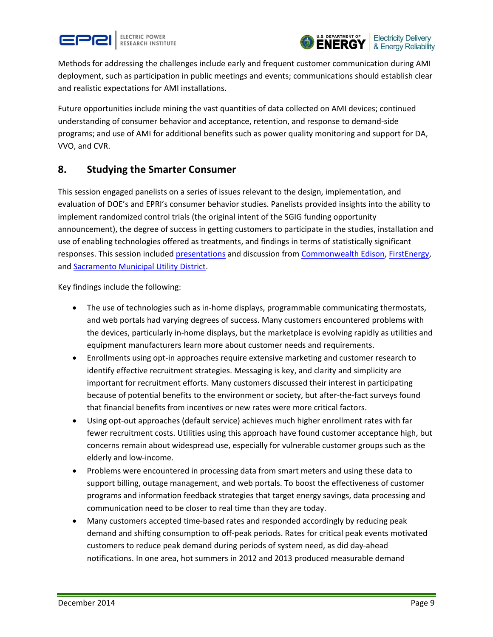



Methods for addressing the challenges include early and frequent customer communication during AMI deployment, such as participation in public meetings and events; communications should establish clear and realistic expectations for AMI installations.

Future opportunities include mining the vast quantities of data collected on AMI devices; continued understanding of consumer behavior and acceptance, retention, and response to demand-side programs; and use of AMI for additional benefits such as power quality monitoring and support for DA, VVO, and CVR.

### **8. Studying the Smarter Consumer**

This session engaged panelists on a series of issues relevant to the design, implementation, and evaluation of DOE's and EPRI's consumer behavior studies. Panelists provided insights into the ability to implement randomized control trials (the original intent of the SGIG funding opportunity announcement), the degree of success in getting customers to participate in the studies, installation and use of enabling technologies offered as treatments, and findings in terms of statistically significant responses. This session include[d presentations](http://mydocs.epri.com/docs/PublicMeetingMaterials/1028/Session_6_and_7_Studying%20-Engaging_the_Smarter_Consumer_Panels.pdf) and discussion from [Commonwealth Edison,](https://www.smartgrid.gov/document/commonwealth_edison_company_customer_applications_program_objectives_research_design_and_im) [FirstEnergy,](https://www.smartgrid.gov/project/firstenergy_smart_grid_modernization_initiative) and [Sacramento Municipal Utility District.](https://www.smartgrid.gov/project/sacramento_municipal_utility_district_smartsacramento)

Key findings include the following:

- The use of technologies such as in-home displays, programmable communicating thermostats, and web portals had varying degrees of success. Many customers encountered problems with the devices, particularly in-home displays, but the marketplace is evolving rapidly as utilities and equipment manufacturers learn more about customer needs and requirements.
- Enrollments using opt-in approaches require extensive marketing and customer research to identify effective recruitment strategies. Messaging is key, and clarity and simplicity are important for recruitment efforts. Many customers discussed their interest in participating because of potential benefits to the environment or society, but after-the-fact surveys found that financial benefits from incentives or new rates were more critical factors.
- Using opt-out approaches (default service) achieves much higher enrollment rates with far fewer recruitment costs. Utilities using this approach have found customer acceptance high, but concerns remain about widespread use, especially for vulnerable customer groups such as the elderly and low-income.
- Problems were encountered in processing data from smart meters and using these data to support billing, outage management, and web portals. To boost the effectiveness of customer programs and information feedback strategies that target energy savings, data processing and communication need to be closer to real time than they are today.
- Many customers accepted time-based rates and responded accordingly by reducing peak demand and shifting consumption to off-peak periods. Rates for critical peak events motivated customers to reduce peak demand during periods of system need, as did day-ahead notifications. In one area, hot summers in 2012 and 2013 produced measurable demand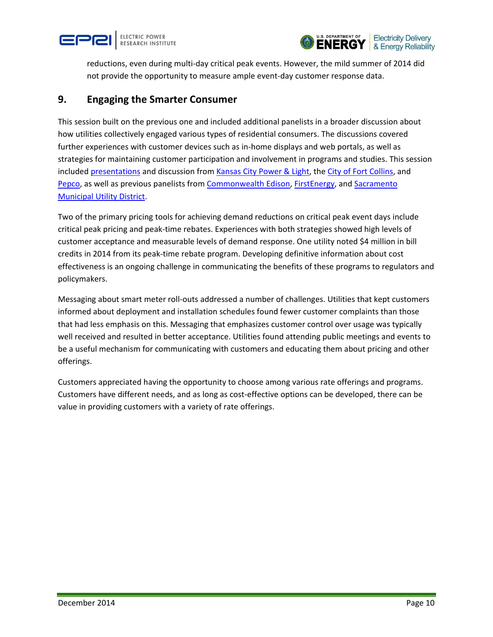



reductions, even during multi-day critical peak events. However, the mild summer of 2014 did not provide the opportunity to measure ample event-day customer response data.

#### **9. Engaging the Smarter Consumer**

This session built on the previous one and included additional panelists in a broader discussion about how utilities collectively engaged various types of residential consumers. The discussions covered further experiences with customer devices such as in-home displays and web portals, as well as strategies for maintaining customer participation and involvement in programs and studies. This session included [presentations](http://mydocs.epri.com/docs/PublicMeetingMaterials/1028/Session_6_and_7_Studying%20-Engaging_the_Smarter_Consumer_Panels.pdf) and discussion from [Kansas City Power & Light,](https://www.smartgrid.gov/project/kansas_city_power_and_light_green_impact_zone_smartgrid_demonstration) the [City of Fort Collins,](https://www.smartgrid.gov/project/city_fort_collins_utilities_front_range_smart_grid_cities) and [Pepco,](https://www.smartgrid.gov/project/potomac_electric_power_company_maryland_smart_grid_project) as well as previous panelists from [Commonwealth Edison,](https://www.smartgrid.gov/document/commonwealth_edison_company_customer_applications_program_objectives_research_design_and_im) [FirstEnergy,](https://www.smartgrid.gov/project/firstenergy_smart_grid_modernization_initiative) and [Sacramento](https://www.smartgrid.gov/project/sacramento_municipal_utility_district_smartsacramento)  [Municipal Utility District.](https://www.smartgrid.gov/project/sacramento_municipal_utility_district_smartsacramento)

Two of the primary pricing tools for achieving demand reductions on critical peak event days include critical peak pricing and peak-time rebates. Experiences with both strategies showed high levels of customer acceptance and measurable levels of demand response. One utility noted \$4 million in bill credits in 2014 from its peak-time rebate program. Developing definitive information about cost effectiveness is an ongoing challenge in communicating the benefits of these programs to regulators and policymakers.

Messaging about smart meter roll-outs addressed a number of challenges. Utilities that kept customers informed about deployment and installation schedules found fewer customer complaints than those that had less emphasis on this. Messaging that emphasizes customer control over usage was typically well received and resulted in better acceptance. Utilities found attending public meetings and events to be a useful mechanism for communicating with customers and educating them about pricing and other offerings.

Customers appreciated having the opportunity to choose among various rate offerings and programs. Customers have different needs, and as long as cost-effective options can be developed, there can be value in providing customers with a variety of rate offerings.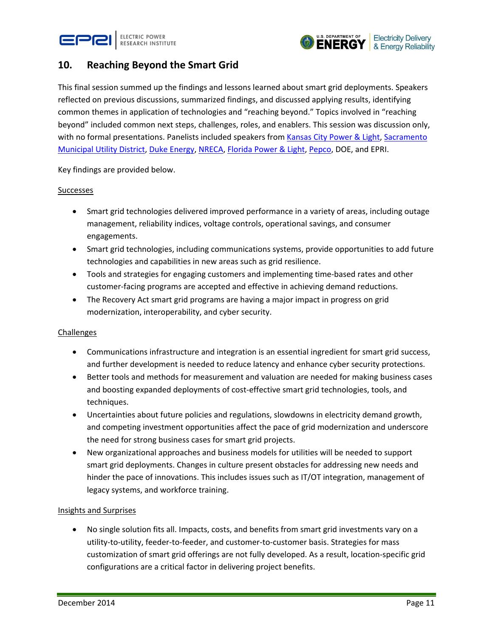



### **10. Reaching Beyond the Smart Grid**

This final session summed up the findings and lessons learned about smart grid deployments. Speakers reflected on previous discussions, summarized findings, and discussed applying results, identifying common themes in application of technologies and "reaching beyond." Topics involved in "reaching beyond" included common next steps, challenges, roles, and enablers. This session was discussion only, with no formal presentations. Panelists included speakers from Kansas [City Power & Light,](https://www.smartgrid.gov/project/kansas_city_power_and_light_green_impact_zone_smartgrid_demonstration) Sacramento [Municipal Utility District,](https://www.smartgrid.gov/project/sacramento_municipal_utility_district_smartsacramento) [Duke Energy,](https://www.smartgrid.gov/project/duke_energy_business_services_smart_grid_deployment) [NRECA,](https://www.smartgrid.gov/project/national_rural_electric_cooperative_association_enhanced_demand_and_distribution_management) [Florida Power & Light,](https://www.smartgrid.gov/project/florida_power_light_company_energy_smart_florida) [Pepco,](https://www.smartgrid.gov/project/potomac_electric_power_company_maryland_smart_grid_project) DOE, and EPRI.

Key findings are provided below.

#### Successes

- Smart grid technologies delivered improved performance in a variety of areas, including outage management, reliability indices, voltage controls, operational savings, and consumer engagements.
- Smart grid technologies, including communications systems, provide opportunities to add future technologies and capabilities in new areas such as grid resilience.
- Tools and strategies for engaging customers and implementing time-based rates and other customer-facing programs are accepted and effective in achieving demand reductions.
- The Recovery Act smart grid programs are having a major impact in progress on grid modernization, interoperability, and cyber security.

#### Challenges

- Communications infrastructure and integration is an essential ingredient for smart grid success, and further development is needed to reduce latency and enhance cyber security protections.
- Better tools and methods for measurement and valuation are needed for making business cases and boosting expanded deployments of cost-effective smart grid technologies, tools, and techniques.
- Uncertainties about future policies and regulations, slowdowns in electricity demand growth, and competing investment opportunities affect the pace of grid modernization and underscore the need for strong business cases for smart grid projects.
- New organizational approaches and business models for utilities will be needed to support smart grid deployments. Changes in culture present obstacles for addressing new needs and hinder the pace of innovations. This includes issues such as IT/OT integration, management of legacy systems, and workforce training.

#### Insights and Surprises

 No single solution fits all. Impacts, costs, and benefits from smart grid investments vary on a utility-to-utility, feeder-to-feeder, and customer-to-customer basis. Strategies for mass customization of smart grid offerings are not fully developed. As a result, location-specific grid configurations are a critical factor in delivering project benefits.